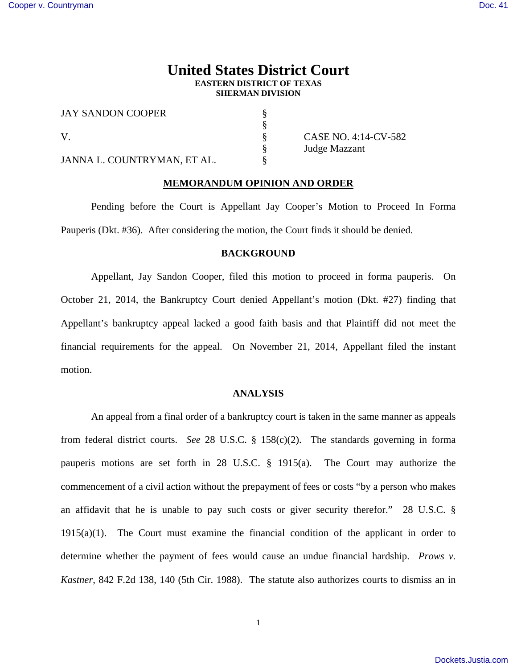# **United States District Court EASTERN DISTRICT OF TEXAS SHERMAN DIVISION**

| <b>JAY SANDON COOPER</b>    |  |
|-----------------------------|--|
|                             |  |
|                             |  |
|                             |  |
| JANNA L. COUNTRYMAN. ET AL. |  |

 $\S$  CASE NO. 4:14-CV-582 § Judge Mazzant

## **MEMORANDUM OPINION AND ORDER**

 Pending before the Court is Appellant Jay Cooper's Motion to Proceed In Forma Pauperis (Dkt. #36). After considering the motion, the Court finds it should be denied.

### **BACKGROUND**

 Appellant, Jay Sandon Cooper, filed this motion to proceed in forma pauperis. On October 21, 2014, the Bankruptcy Court denied Appellant's motion (Dkt. #27) finding that Appellant's bankruptcy appeal lacked a good faith basis and that Plaintiff did not meet the financial requirements for the appeal. On November 21, 2014, Appellant filed the instant motion.

## **ANALYSIS**

An appeal from a final order of a bankruptcy court is taken in the same manner as appeals from federal district courts. *See* 28 U.S.C. § 158(c)(2). The standards governing in forma pauperis motions are set forth in 28 U.S.C. § 1915(a). The Court may authorize the commencement of a civil action without the prepayment of fees or costs "by a person who makes an affidavit that he is unable to pay such costs or giver security therefor." 28 U.S.C. §  $1915(a)(1)$ . The Court must examine the financial condition of the applicant in order to determine whether the payment of fees would cause an undue financial hardship. *Prows v. Kastner*, 842 F.2d 138, 140 (5th Cir. 1988). The statute also authorizes courts to dismiss an in

1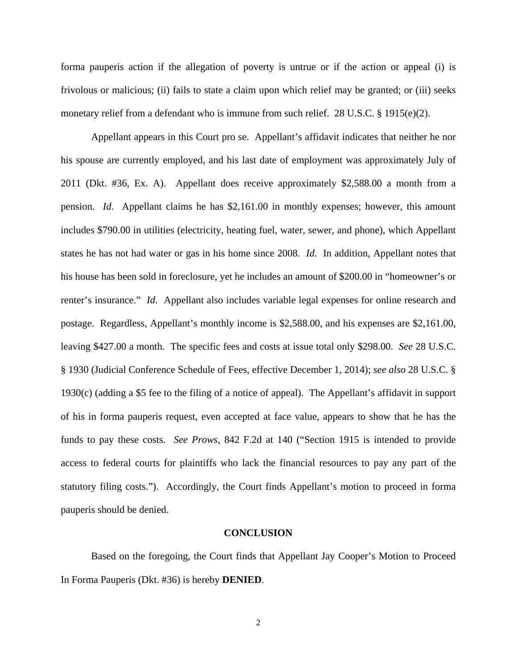forma pauperis action if the allegation of poverty is untrue or if the action or appeal (i) is frivolous or malicious; (ii) fails to state a claim upon which relief may be granted; or (iii) seeks monetary relief from a defendant who is immune from such relief. 28 U.S.C. § 1915(e)(2).

 Appellant appears in this Court pro se. Appellant's affidavit indicates that neither he nor his spouse are currently employed, and his last date of employment was approximately July of 2011 (Dkt. #36, Ex. A). Appellant does receive approximately \$2,588.00 a month from a pension. *Id*. Appellant claims he has \$2,161.00 in monthly expenses; however, this amount includes \$790.00 in utilities (electricity, heating fuel, water, sewer, and phone), which Appellant states he has not had water or gas in his home since 2008. *Id*. In addition, Appellant notes that his house has been sold in foreclosure, yet he includes an amount of \$200.00 in "homeowner's or renter's insurance." *Id*. Appellant also includes variable legal expenses for online research and postage. Regardless, Appellant's monthly income is \$2,588.00, and his expenses are \$2,161.00, leaving \$427.00 a month. The specific fees and costs at issue total only \$298.00. *See* 28 U.S.C. § 1930 (Judicial Conference Schedule of Fees, effective December 1, 2014); *see also* 28 U.S.C. § 1930(c) (adding a \$5 fee to the filing of a notice of appeal). The Appellant's affidavit in support of his in forma pauperis request, even accepted at face value, appears to show that he has the funds to pay these costs. *See Prows*, 842 F.2d at 140 ("Section 1915 is intended to provide access to federal courts for plaintiffs who lack the financial resources to pay any part of the statutory filing costs."). Accordingly, the Court finds Appellant's motion to proceed in forma pauperis should be denied.

#### **CONCLUSION**

 Based on the foregoing, the Court finds that Appellant Jay Cooper's Motion to Proceed In Forma Pauperis (Dkt. #36) is hereby **DENIED**.